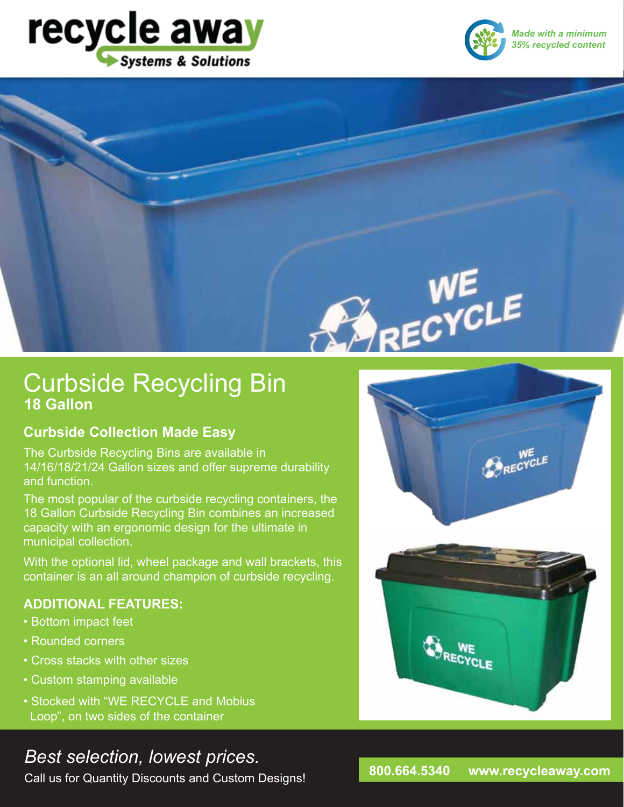



*Made with a minimum 35% recycled content*



## Curbside Recycling Bin **18 Gallon**

### **Curbside Collection Made Easy**

The Curbside Recycling Bins are available in 14/16/18/21/24 Gallon sizes and offer supreme durability and function.

The most popular of the curbside recycling containers, the 18 Gallon Curbside Recycling Bin combines an increased capacity with an ergonomic design for the ultimate in municipal collection.

With the optional lid, wheel package and wall brackets, this container is an all around champion of curbside recycling.

### **ADDITIONAL FEATURES:**

- Bottom impact feet
- Rounded corners
- Cross stacks with other sizes
- Custom stamping available
- Stocked with "WE RECYCLE and Mobius Loop", on two sides of the container

# *Best selection, lowest prices.* **800.664.5340 www.recycleaway.com**

Call us for Quantity Discounts and Custom Designs!